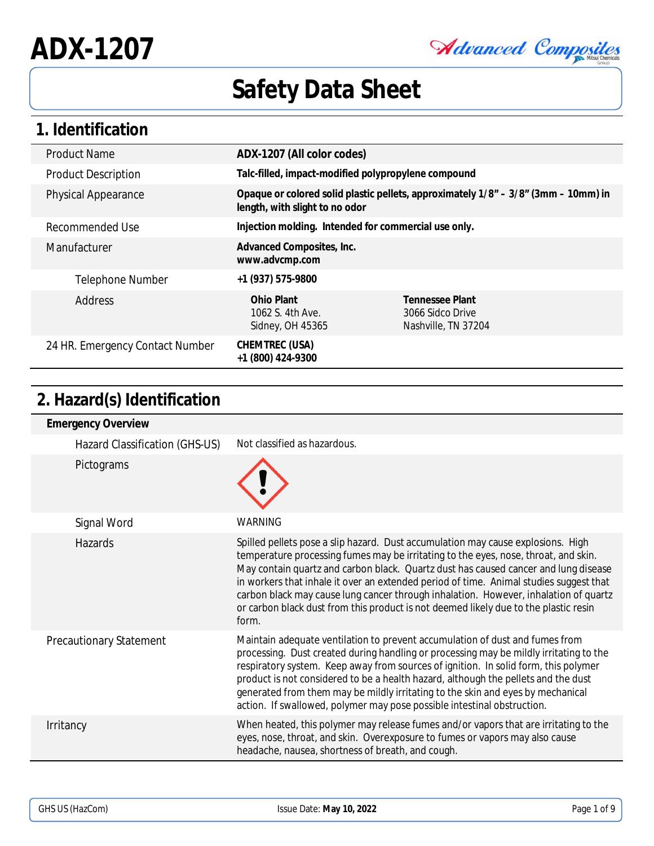Advanced Composites

## **1. Identification**

| <b>Product Name</b>             | ADX-1207 (All color codes)                           |                                                                                      |
|---------------------------------|------------------------------------------------------|--------------------------------------------------------------------------------------|
| <b>Product Description</b>      | Talc-filled, impact-modified polypropylene compound  |                                                                                      |
| <b>Physical Appearance</b>      | length, with slight to no odor                       | Opaque or colored solid plastic pellets, approximately $1/8" - 3/8"$ (3mm – 10mm) in |
| Recommended Use                 | Injection molding. Intended for commercial use only. |                                                                                      |
| Manufacturer                    | Advanced Composites, Inc.<br>www.advcmp.com          |                                                                                      |
| Telephone Number                | +1 (937) 575-9800                                    |                                                                                      |
| Address                         | Ohio Plant<br>1062 S. 4th Ave.<br>Sidney, OH 45365   | Tennessee Plant<br>3066 Sidco Drive<br>Nashville, TN 37204                           |
| 24 HR. Emergency Contact Number | CHEMTREC (USA)<br>+1 (800) 424-9300                  |                                                                                      |

## **2. Hazard(s) Identification**

| <b>Emergency Overview</b>      |                                                                                                                                                                                                                                                                                                                                                                                                                                                                                                                                                   |
|--------------------------------|---------------------------------------------------------------------------------------------------------------------------------------------------------------------------------------------------------------------------------------------------------------------------------------------------------------------------------------------------------------------------------------------------------------------------------------------------------------------------------------------------------------------------------------------------|
| Hazard Classification (GHS-US) | Not classified as hazardous.                                                                                                                                                                                                                                                                                                                                                                                                                                                                                                                      |
| Pictograms                     |                                                                                                                                                                                                                                                                                                                                                                                                                                                                                                                                                   |
| Signal Word                    | <b>WARNING</b>                                                                                                                                                                                                                                                                                                                                                                                                                                                                                                                                    |
| Hazards                        | Spilled pellets pose a slip hazard. Dust accumulation may cause explosions. High<br>temperature processing fumes may be irritating to the eyes, nose, throat, and skin.<br>May contain quartz and carbon black. Quartz dust has caused cancer and lung disease<br>in workers that inhale it over an extended period of time. Animal studies suggest that<br>carbon black may cause lung cancer through inhalation. However, inhalation of quartz<br>or carbon black dust from this product is not deemed likely due to the plastic resin<br>form. |
| <b>Precautionary Statement</b> | Maintain adequate ventilation to prevent accumulation of dust and fumes from<br>processing. Dust created during handling or processing may be mildly irritating to the<br>respiratory system. Keep away from sources of ignition. In solid form, this polymer<br>product is not considered to be a health hazard, although the pellets and the dust<br>generated from them may be mildly irritating to the skin and eyes by mechanical<br>action. If swallowed, polymer may pose possible intestinal obstruction.                                 |
| Irritancy                      | When heated, this polymer may release fumes and/or vapors that are irritating to the<br>eyes, nose, throat, and skin. Overexposure to fumes or vapors may also cause<br>headache, nausea, shortness of breath, and cough.                                                                                                                                                                                                                                                                                                                         |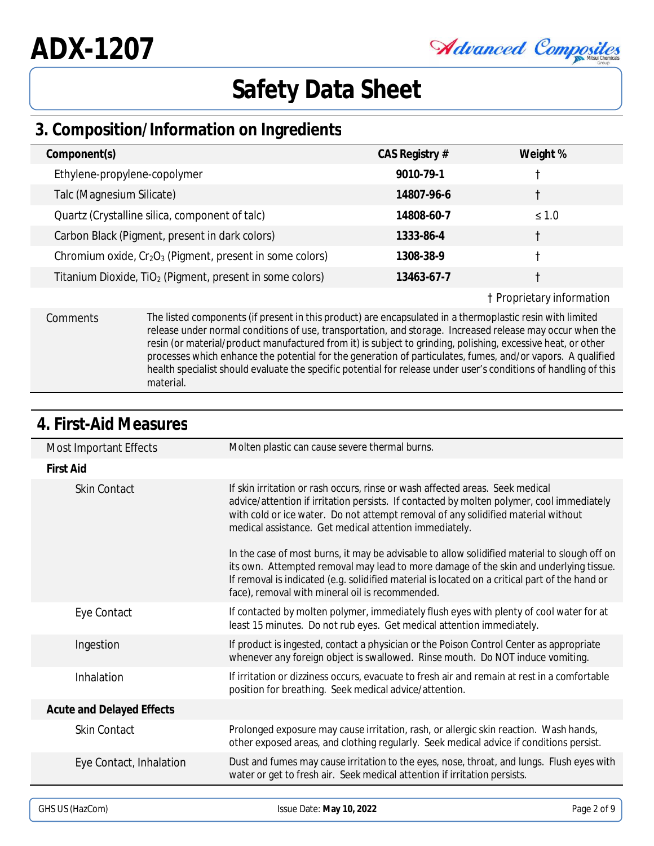## Advanced Composites

## **Safety Data Sheet**

## **3. Composition/Information on Ingredients**

| Component(s)                                                         | CAS Registry # | Weight %   |
|----------------------------------------------------------------------|----------------|------------|
| Ethylene-propylene-copolymer                                         | 9010-79-1      |            |
| Talc (Magnesium Silicate)                                            | 14807-96-6     |            |
| Quartz (Crystalline silica, component of talc)                       | 14808-60-7     | $\leq 1.0$ |
| Carbon Black (Pigment, present in dark colors)                       | 1333-86-4      |            |
| Chromium oxide, $Cr2O3$ (Pigment, present in some colors)            | 1308-38-9      |            |
| Titanium Dioxide, TiO <sub>2</sub> (Pigment, present in some colors) | 13463-67-7     |            |
|                                                                      |                | .          |

#### † Proprietary information

Comments The listed components (if present in this product) are encapsulated in a thermoplastic resin with limited release under normal conditions of use, transportation, and storage. Increased release may occur when the resin (or material/product manufactured from it) is subject to grinding, polishing, excessive heat, or other processes which enhance the potential for the generation of particulates, fumes, and/or vapors. A qualified health specialist should evaluate the specific potential for release under user's conditions of handling of this material.

| <b>Most Important Effects</b> | Molten plastic can cause severe thermal burns.                                                                                                                                                                                                                                                                                             |
|-------------------------------|--------------------------------------------------------------------------------------------------------------------------------------------------------------------------------------------------------------------------------------------------------------------------------------------------------------------------------------------|
| <b>First Aid</b>              |                                                                                                                                                                                                                                                                                                                                            |
| <b>Skin Contact</b>           | If skin irritation or rash occurs, rinse or wash affected areas. Seek medical<br>advice/attention if irritation persists. If contacted by molten polymer, cool immediately<br>with cold or ice water. Do not attempt removal of any solidified material without<br>medical assistance. Get medical attention immediately.                  |
|                               | In the case of most burns, it may be advisable to allow solidified material to slough off on<br>its own. Attempted removal may lead to more damage of the skin and underlying tissue.<br>If removal is indicated (e.g. solidified material is located on a critical part of the hand or<br>face), removal with mineral oil is recommended. |
| Eye Contact                   | If contacted by molten polymer, immediately flush eyes with plenty of cool water for at<br>least 15 minutes. Do not rub eyes. Get medical attention immediately.                                                                                                                                                                           |
| Ingestion                     | If product is ingested, contact a physician or the Poison Control Center as appropriate<br>whenever any foreign object is swallowed. Rinse mouth. Do NOT induce vomiting.                                                                                                                                                                  |
| Inhalation                    | If irritation or dizziness occurs, evacuate to fresh air and remain at rest in a comfortable<br>position for breathing. Seek medical advice/attention.                                                                                                                                                                                     |
| Acute and Delayed Effects     |                                                                                                                                                                                                                                                                                                                                            |
| <b>Skin Contact</b>           | Prolonged exposure may cause irritation, rash, or allergic skin reaction. Wash hands,<br>other exposed areas, and clothing regularly. Seek medical advice if conditions persist.                                                                                                                                                           |
| Eye Contact, Inhalation       | Dust and fumes may cause irritation to the eyes, nose, throat, and lungs. Flush eyes with<br>water or get to fresh air. Seek medical attention if irritation persists.                                                                                                                                                                     |
|                               |                                                                                                                                                                                                                                                                                                                                            |

#### **4. First-Aid Measures**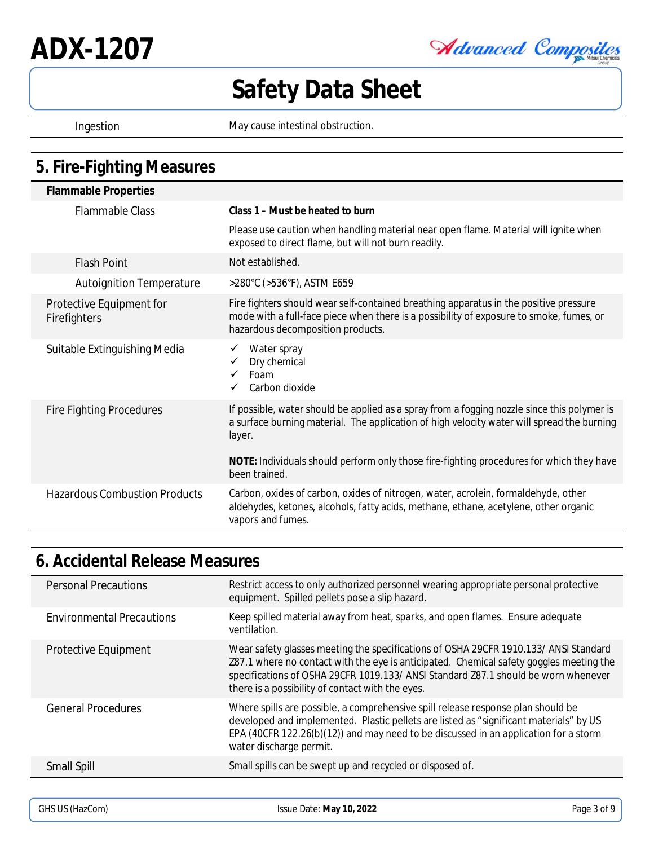**ADX-1207**

Advanced Composites

# **Safety Data Sheet**

Ingestion May cause intestinal obstruction.

### **5. Fire-Fighting Measures**

| <b>Flammable Properties</b>              |                                                                                                                                                                                                                                                                                                 |
|------------------------------------------|-------------------------------------------------------------------------------------------------------------------------------------------------------------------------------------------------------------------------------------------------------------------------------------------------|
| <b>Flammable Class</b>                   | Class 1 – Must be heated to burn                                                                                                                                                                                                                                                                |
|                                          | Please use caution when handling material near open flame. Material will ignite when<br>exposed to direct flame, but will not burn readily.                                                                                                                                                     |
| <b>Flash Point</b>                       | Not established.                                                                                                                                                                                                                                                                                |
| <b>Autoignition Temperature</b>          | >280°C (>536°F), ASTM E659                                                                                                                                                                                                                                                                      |
| Protective Equipment for<br>Firefighters | Fire fighters should wear self-contained breathing apparatus in the positive pressure<br>mode with a full-face piece when there is a possibility of exposure to smoke, fumes, or<br>hazardous decomposition products.                                                                           |
| Suitable Extinguishing Media             | Water spray<br>Dry chemical<br>Foam<br>Carbon dioxide                                                                                                                                                                                                                                           |
| <b>Fire Fighting Procedures</b>          | If possible, water should be applied as a spray from a fogging nozzle since this polymer is<br>a surface burning material. The application of high velocity water will spread the burning<br>layer.<br>NOTE: Individuals should perform only those fire-fighting procedures for which they have |
|                                          | been trained.                                                                                                                                                                                                                                                                                   |
| <b>Hazardous Combustion Products</b>     | Carbon, oxides of carbon, oxides of nitrogen, water, acrolein, formaldehyde, other<br>aldehydes, ketones, alcohols, fatty acids, methane, ethane, acetylene, other organic<br>vapors and fumes.                                                                                                 |

### **6. Accidental Release Measures**

| <b>Personal Precautions</b>      | Restrict access to only authorized personnel wearing appropriate personal protective<br>equipment. Spilled pellets pose a slip hazard.                                                                                                                                                                                    |
|----------------------------------|---------------------------------------------------------------------------------------------------------------------------------------------------------------------------------------------------------------------------------------------------------------------------------------------------------------------------|
| <b>Environmental Precautions</b> | Keep spilled material away from heat, sparks, and open flames. Ensure adequate<br>ventilation.                                                                                                                                                                                                                            |
| Protective Equipment             | Wear safety glasses meeting the specifications of OSHA 29CFR 1910.133/ ANSI Standard<br>Z87.1 where no contact with the eye is anticipated. Chemical safety goggles meeting the<br>specifications of OSHA 29CFR 1019.133/ ANSI Standard Z87.1 should be worn whenever<br>there is a possibility of contact with the eyes. |
| <b>General Procedures</b>        | Where spills are possible, a comprehensive spill release response plan should be<br>developed and implemented. Plastic pellets are listed as "significant materials" by US<br>EPA (40CFR 122.26(b)(12)) and may need to be discussed in an application for a storm<br>water discharge permit.                             |
| Small Spill                      | Small spills can be swept up and recycled or disposed of.                                                                                                                                                                                                                                                                 |
|                                  |                                                                                                                                                                                                                                                                                                                           |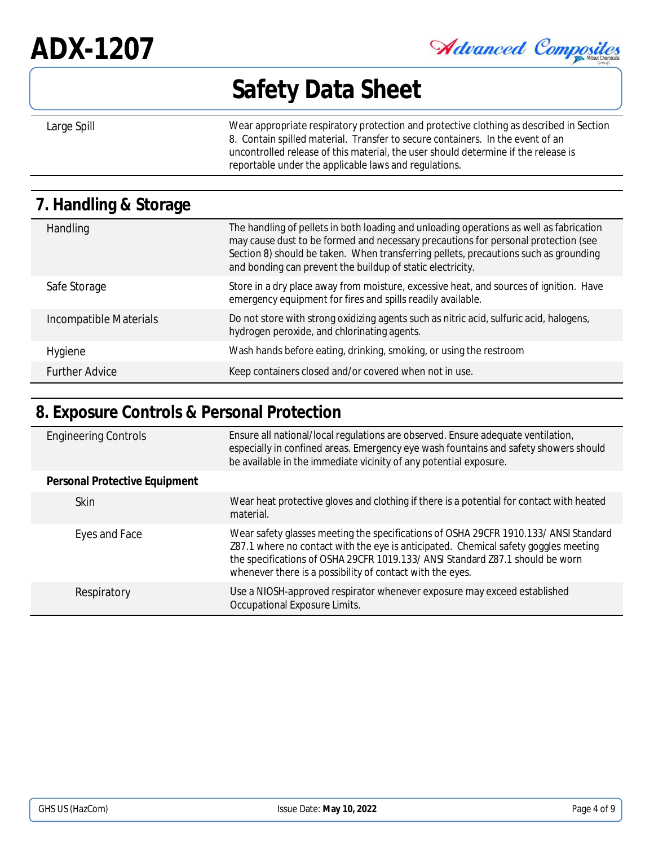# **ADX-1207**

Advanced Composites

## **Safety Data Sheet**

Large Spill **Exercise 20** Wear appropriate respiratory protection and protective clothing as described in Section 8. Contain spilled material. Transfer to secure containers. In the event of an uncontrolled release of this material, the user should determine if the release is reportable under the applicable laws and regulations.

| 7. Handling & Storage  |                                                                                                                                                                                                                                                                                                                                     |
|------------------------|-------------------------------------------------------------------------------------------------------------------------------------------------------------------------------------------------------------------------------------------------------------------------------------------------------------------------------------|
| Handling               | The handling of pellets in both loading and unloading operations as well as fabrication<br>may cause dust to be formed and necessary precautions for personal protection (see<br>Section 8) should be taken. When transferring pellets, precautions such as grounding<br>and bonding can prevent the buildup of static electricity. |
| Safe Storage           | Store in a dry place away from moisture, excessive heat, and sources of ignition. Have<br>emergency equipment for fires and spills readily available.                                                                                                                                                                               |
| Incompatible Materials | Do not store with strong oxidizing agents such as nitric acid, sulfuric acid, halogens,<br>hydrogen peroxide, and chlorinating agents.                                                                                                                                                                                              |
| Hygiene                | Wash hands before eating, drinking, smoking, or using the restroom                                                                                                                                                                                                                                                                  |
| <b>Further Advice</b>  | Keep containers closed and/or covered when not in use.                                                                                                                                                                                                                                                                              |

### **8. Exposure Controls & Personal Protection**

| <b>Engineering Controls</b>   | Ensure all national/local regulations are observed. Ensure adequate ventilation,<br>especially in confined areas. Emergency eye wash fountains and safety showers should<br>be available in the immediate vicinity of any potential exposure.                                                                             |
|-------------------------------|---------------------------------------------------------------------------------------------------------------------------------------------------------------------------------------------------------------------------------------------------------------------------------------------------------------------------|
| Personal Protective Equipment |                                                                                                                                                                                                                                                                                                                           |
| <b>Skin</b>                   | Wear heat protective gloves and clothing if there is a potential for contact with heated<br>material.                                                                                                                                                                                                                     |
| Eyes and Face                 | Wear safety glasses meeting the specifications of OSHA 29CFR 1910.133/ ANSI Standard<br>Z87.1 where no contact with the eye is anticipated. Chemical safety goggles meeting<br>the specifications of OSHA 29CFR 1019.133/ ANSI Standard Z87.1 should be worn<br>whenever there is a possibility of contact with the eyes. |
| Respiratory                   | Use a NIOSH-approved respirator whenever exposure may exceed established<br>Occupational Exposure Limits.                                                                                                                                                                                                                 |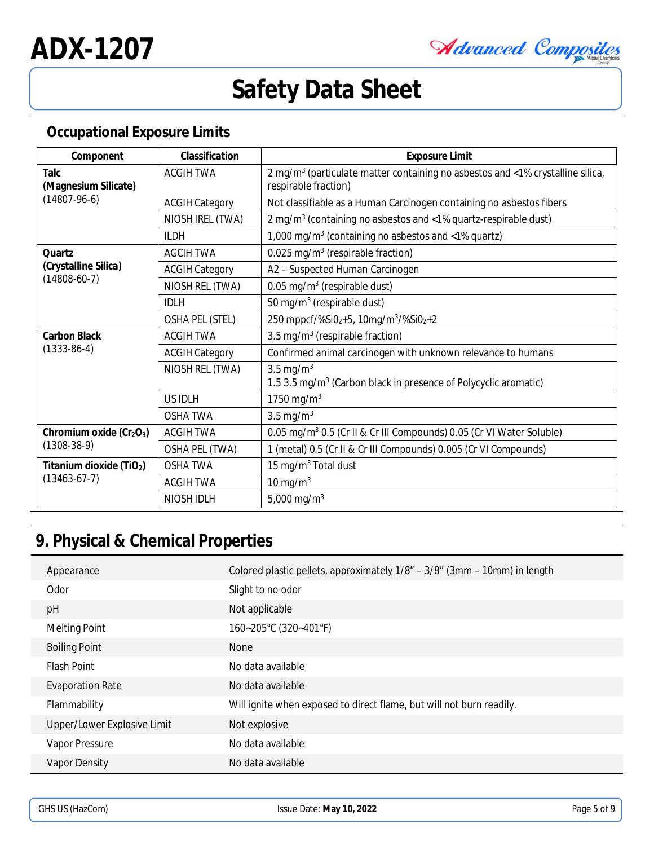Advanced Composites

#### **Occupational Exposure Limits**

| Component                                   | Classification        | <b>Exposure Limit</b>                                                                                              |
|---------------------------------------------|-----------------------|--------------------------------------------------------------------------------------------------------------------|
| Talc<br>(Magnesium Silicate)                | <b>ACGIH TWA</b>      | 2 mg/m <sup>3</sup> (particulate matter containing no asbestos and <1% crystalline silica,<br>respirable fraction) |
| $(14807 - 96 - 6)$                          | <b>ACGIH Category</b> | Not classifiable as a Human Carcinogen containing no asbestos fibers                                               |
|                                             | NIOSH IREL (TWA)      | 2 mg/m <sup>3</sup> (containing no asbestos and <1% quartz-respirable dust)                                        |
|                                             | II DH                 | 1,000 mg/m <sup>3</sup> (containing no asbestos and <1% quartz)                                                    |
| <b>Ouartz</b>                               | <b>AGCIH TWA</b>      | 0.025 mg/m <sup>3</sup> (respirable fraction)                                                                      |
| (Crystalline Silica)                        | <b>ACGIH Category</b> | A2 - Suspected Human Carcinogen                                                                                    |
| $(14808-60-7)$                              | NIOSH REL (TWA)       | 0.05 mg/m <sup>3</sup> (respirable dust)                                                                           |
|                                             | <b>IDLH</b>           | 50 mg/m <sup>3</sup> (respirable dust)                                                                             |
|                                             | OSHA PEL (STEL)       | 250 mppcf/%Si0 <sub>2</sub> +5, 10mg/m <sup>3</sup> /%Si0 <sub>2</sub> +2                                          |
| Carbon Black<br>$(1333-86-4)$               | <b>ACGIH TWA</b>      | 3.5 mg/m <sup>3</sup> (respirable fraction)                                                                        |
|                                             | <b>ACGIH Category</b> | Confirmed animal carcinogen with unknown relevance to humans                                                       |
|                                             | NIOSH REL (TWA)       | 3.5 mg/m $3$<br>1.5 3.5 mg/m <sup>3</sup> (Carbon black in presence of Polycyclic aromatic)                        |
|                                             | <b>US IDLH</b>        | 1750 mg/m <sup>3</sup>                                                                                             |
|                                             | <b>OSHA TWA</b>       | 3.5 mg/m $3$                                                                                                       |
| Chromium oxide $(Cr2O3)$<br>$(1308-38-9)$   | <b>ACGIH TWA</b>      | 0.05 mg/m <sup>3</sup> 0.5 (Cr II & Cr III Compounds) 0.05 (Cr VI Water Soluble)                                   |
|                                             | OSHA PEL (TWA)        | 1 (metal) 0.5 (Cr II & Cr III Compounds) 0.005 (Cr VI Compounds)                                                   |
| Titanium dioxide $(TIO2)$<br>$(13463-67-7)$ | <b>OSHA TWA</b>       | 15 mg/m <sup>3</sup> Total dust                                                                                    |
|                                             | <b>ACGIH TWA</b>      | 10 mg/m $3$                                                                                                        |
|                                             | NIOSH IDLH            | 5,000 mg/m <sup>3</sup>                                                                                            |

## **9. Physical & Chemical Properties**

| Appearance                  | Colored plastic pellets, approximately 1/8" – 3/8" (3mm – 10mm) in length |
|-----------------------------|---------------------------------------------------------------------------|
| Odor                        | Slight to no odor                                                         |
| pH                          | Not applicable                                                            |
| <b>Melting Point</b>        | 160~205°C (320~401°F)                                                     |
| <b>Boiling Point</b>        | None                                                                      |
| <b>Flash Point</b>          | No data available                                                         |
| <b>Evaporation Rate</b>     | No data available                                                         |
| Flammability                | Will ignite when exposed to direct flame, but will not burn readily.      |
| Upper/Lower Explosive Limit | Not explosive                                                             |
| Vapor Pressure              | No data available                                                         |
| Vapor Density               | No data available                                                         |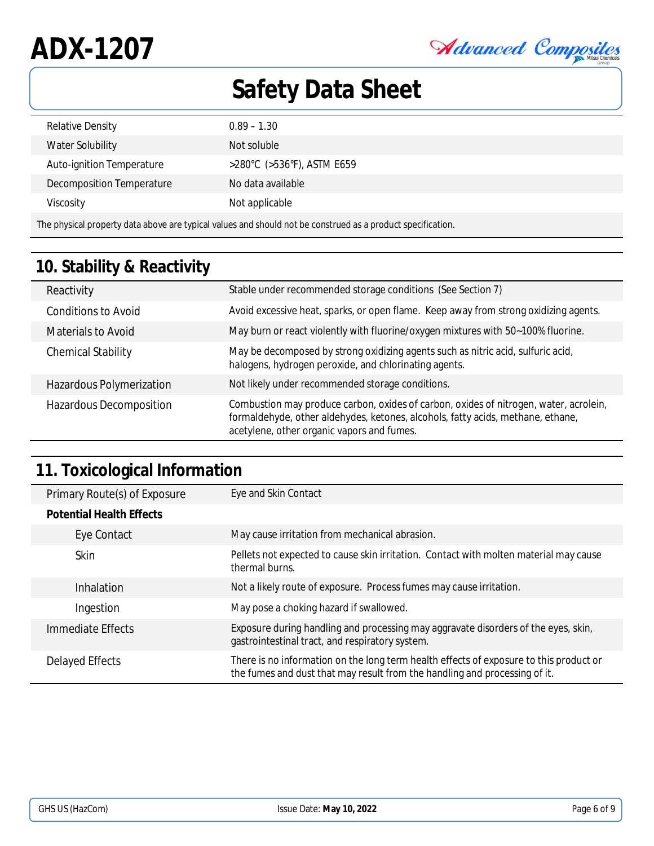Advanced Composites

| Relative Density                                                                                            | $0.89 - 1.30$              |  |
|-------------------------------------------------------------------------------------------------------------|----------------------------|--|
| Water Solubility                                                                                            | Not soluble                |  |
| Auto-ignition Temperature                                                                                   | >280°C (>536°F), ASTM E659 |  |
| Decomposition Temperature                                                                                   | No data available          |  |
| Viscosity                                                                                                   | Not applicable             |  |
| The physical property data above are typical values and should not be construed as a product specification. |                            |  |

## **10. Stability & Reactivity**

| Reactivity                 | Stable under recommended storage conditions (See Section 7)                                                                                                                                                            |
|----------------------------|------------------------------------------------------------------------------------------------------------------------------------------------------------------------------------------------------------------------|
| <b>Conditions to Avoid</b> | Avoid excessive heat, sparks, or open flame. Keep away from strong oxidizing agents.                                                                                                                                   |
| <b>Materials to Avoid</b>  | May burn or react violently with fluorine/oxygen mixtures with 50~100% fluorine.                                                                                                                                       |
| <b>Chemical Stability</b>  | May be decomposed by strong oxidizing agents such as nitric acid, sulfuric acid,<br>halogens, hydrogen peroxide, and chlorinating agents.                                                                              |
| Hazardous Polymerization   | Not likely under recommended storage conditions.                                                                                                                                                                       |
| Hazardous Decomposition    | Combustion may produce carbon, oxides of carbon, oxides of nitrogen, water, acrolein,<br>formaldehyde, other aldehydes, ketones, alcohols, fatty acids, methane, ethane,<br>acetylene, other organic vapors and fumes. |

## **11. Toxicological Information**

| Primary Route(s) of Exposure    | Eye and Skin Contact                                                                                                                                                 |
|---------------------------------|----------------------------------------------------------------------------------------------------------------------------------------------------------------------|
| <b>Potential Health Effects</b> |                                                                                                                                                                      |
| Eye Contact                     | May cause irritation from mechanical abrasion.                                                                                                                       |
| Skin                            | Pellets not expected to cause skin irritation. Contact with molten material may cause<br>thermal burns.                                                              |
| <b>Inhalation</b>               | Not a likely route of exposure. Process fumes may cause irritation.                                                                                                  |
| Ingestion                       | May pose a choking hazard if swallowed.                                                                                                                              |
| Immediate Effects               | Exposure during handling and processing may aggravate disorders of the eyes, skin,<br>gastrointestinal tract, and respiratory system.                                |
| Delayed Effects                 | There is no information on the long term health effects of exposure to this product or<br>the fumes and dust that may result from the handling and processing of it. |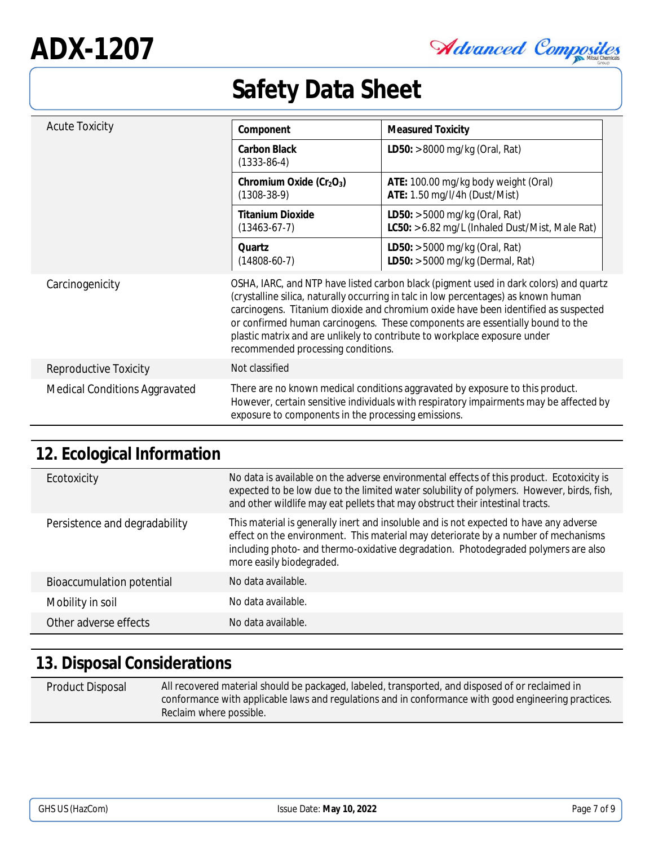Advanced Composites

| <b>Acute Toxicity</b>                | Component                                                         | <b>Measured Toxicity</b>                                                                                                                                                                                                                                                                                                                                                                                                         |
|--------------------------------------|-------------------------------------------------------------------|----------------------------------------------------------------------------------------------------------------------------------------------------------------------------------------------------------------------------------------------------------------------------------------------------------------------------------------------------------------------------------------------------------------------------------|
|                                      | Carbon Black<br>$(1333-86-4)$                                     | LD50: > 8000 mg/kg (Oral, Rat)                                                                                                                                                                                                                                                                                                                                                                                                   |
|                                      | Chromium Oxide (Cr <sub>2</sub> O <sub>3</sub> )<br>$(1308-38-9)$ | ATE: 100.00 mg/kg body weight (Oral)<br>ATE: 1.50 mg/l/4h (Dust/Mist)                                                                                                                                                                                                                                                                                                                                                            |
|                                      | <b>Titanium Dioxide</b><br>$(13463-67-7)$                         | LD50: > 5000 mg/kg (Oral, Rat)<br>LC50: > 6.82 mg/L (Inhaled Dust/Mist, Male Rat)                                                                                                                                                                                                                                                                                                                                                |
|                                      | Quartz<br>$(14808-60-7)$                                          | LD50: > 5000 mg/kg (Oral, Rat)<br>LD50: $>$ 5000 mg/kg (Dermal, Rat)                                                                                                                                                                                                                                                                                                                                                             |
| Carcinogenicity                      | recommended processing conditions.                                | OSHA, IARC, and NTP have listed carbon black (pigment used in dark colors) and quartz<br>(crystalline silica, naturally occurring in talc in low percentages) as known human<br>carcinogens. Titanium dioxide and chromium oxide have been identified as suspected<br>or confirmed human carcinogens. These components are essentially bound to the<br>plastic matrix and are unlikely to contribute to workplace exposure under |
| Reproductive Toxicity                | Not classified                                                    |                                                                                                                                                                                                                                                                                                                                                                                                                                  |
| <b>Medical Conditions Aggravated</b> | exposure to components in the processing emissions.               | There are no known medical conditions aggravated by exposure to this product.<br>However, certain sensitive individuals with respiratory impairments may be affected by                                                                                                                                                                                                                                                          |

## **12. Ecological Information**

| Ecotoxicity                   | No data is available on the adverse environmental effects of this product. Ecotoxicity is<br>expected to be low due to the limited water solubility of polymers. However, birds, fish,<br>and other wildlife may eat pellets that may obstruct their intestinal tracts.                        |
|-------------------------------|------------------------------------------------------------------------------------------------------------------------------------------------------------------------------------------------------------------------------------------------------------------------------------------------|
| Persistence and degradability | This material is generally inert and insoluble and is not expected to have any adverse<br>effect on the environment. This material may deteriorate by a number of mechanisms<br>including photo- and thermo-oxidative degradation. Photodegraded polymers are also<br>more easily biodegraded. |
| Bioaccumulation potential     | No data available.                                                                                                                                                                                                                                                                             |
| Mobility in soil              | No data available.                                                                                                                                                                                                                                                                             |
| Other adverse effects         | No data available.                                                                                                                                                                                                                                                                             |

## **13. Disposal Considerations**

| Product Disposal | All recovered material should be packaged, labeled, transported, and disposed of or reclaimed in     |
|------------------|------------------------------------------------------------------------------------------------------|
|                  | conformance with applicable laws and regulations and in conformance with good engineering practices. |
|                  | Reclaim where possible.                                                                              |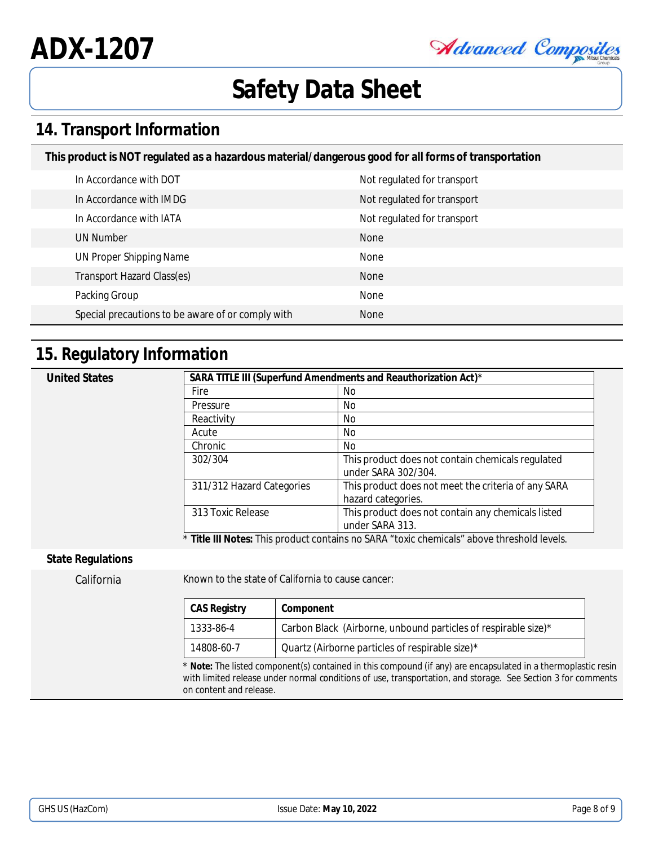**ADX-1207**

Advanced Composites

## **Safety Data Sheet**

#### **14. Transport Information**

**This product is NOT regulated as a hazardous material/dangerous good for all forms of transportation**

| In Accordance with DOT                            | Not regulated for transport |
|---------------------------------------------------|-----------------------------|
| In Accordance with IMDG                           | Not regulated for transport |
| In Accordance with IATA                           | Not regulated for transport |
| UN Number                                         | <b>None</b>                 |
| UN Proper Shipping Name                           | None                        |
| Transport Hazard Class(es)                        | <b>None</b>                 |
| Packing Group                                     | None                        |
| Special precautions to be aware of or comply with | <b>None</b>                 |

#### **15. Regulatory Information**

| <b>United States</b> |                           | SARA TITLE III (Superfund Amendments and Reauthorization Act)*            |
|----------------------|---------------------------|---------------------------------------------------------------------------|
|                      | Fire                      | No.                                                                       |
|                      | Pressure                  | No.                                                                       |
|                      | Reactivity                | No.                                                                       |
|                      | Acute                     | No.                                                                       |
|                      | Chronic                   | No.                                                                       |
|                      | 302/304                   | This product does not contain chemicals regulated<br>under SARA 302/304.  |
|                      | 311/312 Hazard Categories | This product does not meet the criteria of any SARA<br>hazard categories. |
|                      | 313 Toxic Release         | This product does not contain any chemicals listed<br>under SARA 313.     |

Title III Notes: This product contains no SARA "toxic chemicals" above threshold levels

#### **State Regulations**

California Known to the state of California to cause cancer:

| CAS Registry | Component                                                      |
|--------------|----------------------------------------------------------------|
| 1333-86-4    | Carbon Black (Airborne, unbound particles of respirable size)* |
| 14808-60-7   | Quartz (Airborne particles of respirable size)*                |

\* **Note:** The listed component(s) contained in this compound (if any) are encapsulated in a thermoplastic resin with limited release under normal conditions of use, transportation, and storage. See Section 3 for comments on content and release.